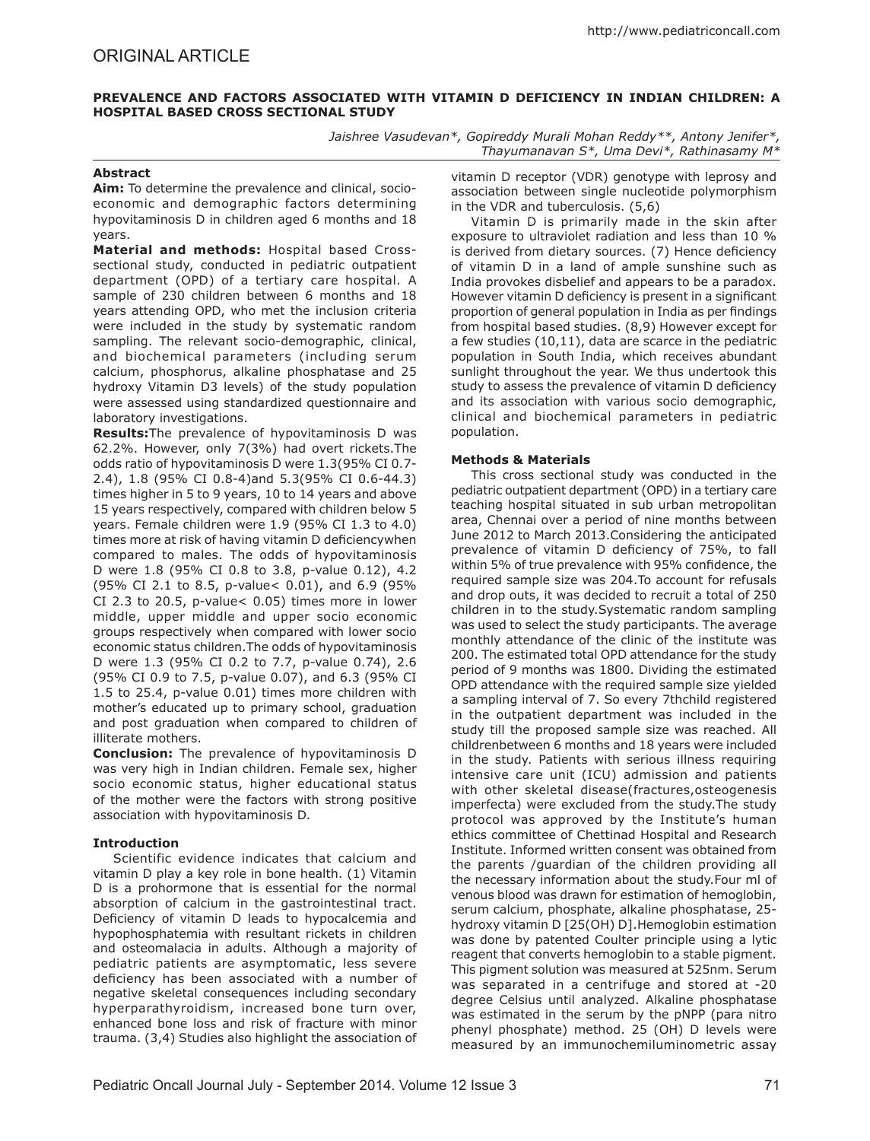# **Prevalence and Factors Associated with Vitamin D Deficiency in Indian Children: A Hospital Based Cross Sectional Study**

*Jaishree Vasudevan\*, Gopireddy Murali Mohan Reddy\*\*, Antony Jenifer\*, Thayumanavan S\*, Uma Devi\*, Rathinasamy M\**

# **Abstract**

**Aim:** To determine the prevalence and clinical, socioeconomic and demographic factors determining hypovitaminosis D in children aged 6 months and 18 years.

**Material and methods:** Hospital based Crosssectional study, conducted in pediatric outpatient department (OPD) of a tertiary care hospital. A sample of 230 children between 6 months and 18 years attending OPD, who met the inclusion criteria were included in the study by systematic random sampling. The relevant socio-demographic, clinical, and biochemical parameters (including serum calcium, phosphorus, alkaline phosphatase and 25 hydroxy Vitamin D3 levels) of the study population were assessed using standardized questionnaire and laboratory investigations.

**Results:**The prevalence of hypovitaminosis D was 62.2%. However, only 7(3%) had overt rickets.The odds ratio of hypovitaminosis D were 1.3(95% CI 0.7- 2.4), 1.8 (95% CI 0.8-4)and 5.3(95% CI 0.6-44.3) times higher in 5 to 9 years, 10 to 14 years and above 15 years respectively, compared with children below 5 years. Female children were 1.9 (95% CI 1.3 to 4.0) times more at risk of having vitamin D deficiencywhen compared to males. The odds of hypovitaminosis D were 1.8 (95% CI 0.8 to 3.8, p-value 0.12), 4.2 (95% CI 2.1 to 8.5, p-value< 0.01), and 6.9 (95% CI 2.3 to 20.5, p-value< 0.05) times more in lower middle, upper middle and upper socio economic groups respectively when compared with lower socio economic status children.The odds of hypovitaminosis D were 1.3 (95% CI 0.2 to 7.7, p-value 0.74), 2.6 (95% CI 0.9 to 7.5, p-value 0.07), and 6.3 (95% CI 1.5 to 25.4, p-value 0.01) times more children with mother's educated up to primary school, graduation and post graduation when compared to children of illiterate mothers.

**Conclusion:** The prevalence of hypovitaminosis D was very high in Indian children. Female sex, higher socio economic status, higher educational status of the mother were the factors with strong positive association with hypovitaminosis D.

## **Introduction**

Scientific evidence indicates that calcium and vitamin D play a key role in bone health. (1) Vitamin D is a prohormone that is essential for the normal absorption of calcium in the gastrointestinal tract. Deficiency of vitamin D leads to hypocalcemia and hypophosphatemia with resultant rickets in children and osteomalacia in adults. Although a majority of pediatric patients are asymptomatic, less severe deficiency has been associated with a number of negative skeletal consequences including secondary hyperparathyroidism, increased bone turn over, enhanced bone loss and risk of fracture with minor trauma. (3,4) Studies also highlight the association of vitamin D receptor (VDR) genotype with leprosy and association between single nucleotide polymorphism in the VDR and tuberculosis. (5,6)

Vitamin D is primarily made in the skin after exposure to ultraviolet radiation and less than 10 % is derived from dietary sources. (7) Hence deficiency of vitamin D in a land of ample sunshine such as India provokes disbelief and appears to be a paradox. However vitamin D deficiency is present in a significant proportion of general population in India as per findings from hospital based studies. (8,9) However except for a few studies (10,11), data are scarce in the pediatric population in South India, which receives abundant sunlight throughout the year. We thus undertook this study to assess the prevalence of vitamin D deficiency and its association with various socio demographic, clinical and biochemical parameters in pediatric population.

### **Methods & Materials**

This cross sectional study was conducted in the pediatric outpatient department (OPD) in a tertiary care teaching hospital situated in sub urban metropolitan area, Chennai over a period of nine months between June 2012 to March 2013.Considering the anticipated prevalence of vitamin D deficiency of 75%, to fall within 5% of true prevalence with 95% confidence, the required sample size was 204.To account for refusals and drop outs, it was decided to recruit a total of 250 children in to the study.Systematic random sampling was used to select the study participants. The average monthly attendance of the clinic of the institute was 200. The estimated total OPD attendance for the study period of 9 months was 1800. Dividing the estimated OPD attendance with the required sample size yielded a sampling interval of 7. So every 7thchild registered in the outpatient department was included in the study till the proposed sample size was reached. All childrenbetween 6 months and 18 years were included in the study. Patients with serious illness requiring intensive care unit (ICU) admission and patients with other skeletal disease(fractures,osteogenesis imperfecta) were excluded from the study.The study protocol was approved by the Institute's human ethics committee of Chettinad Hospital and Research Institute. Informed written consent was obtained from the parents /guardian of the children providing all the necessary information about the study.Four ml of venous blood was drawn for estimation of hemoglobin, serum calcium, phosphate, alkaline phosphatase, 25 hydroxy vitamin D [25(OH) D].Hemoglobin estimation was done by patented Coulter principle using a lytic reagent that converts hemoglobin to a stable pigment. This pigment solution was measured at 525nm. Serum was separated in a centrifuge and stored at -20 degree Celsius until analyzed. Alkaline phosphatase was estimated in the serum by the pNPP (para nitro phenyl phosphate) method. 25 (OH) D levels were measured by an immunochemiluminometric assay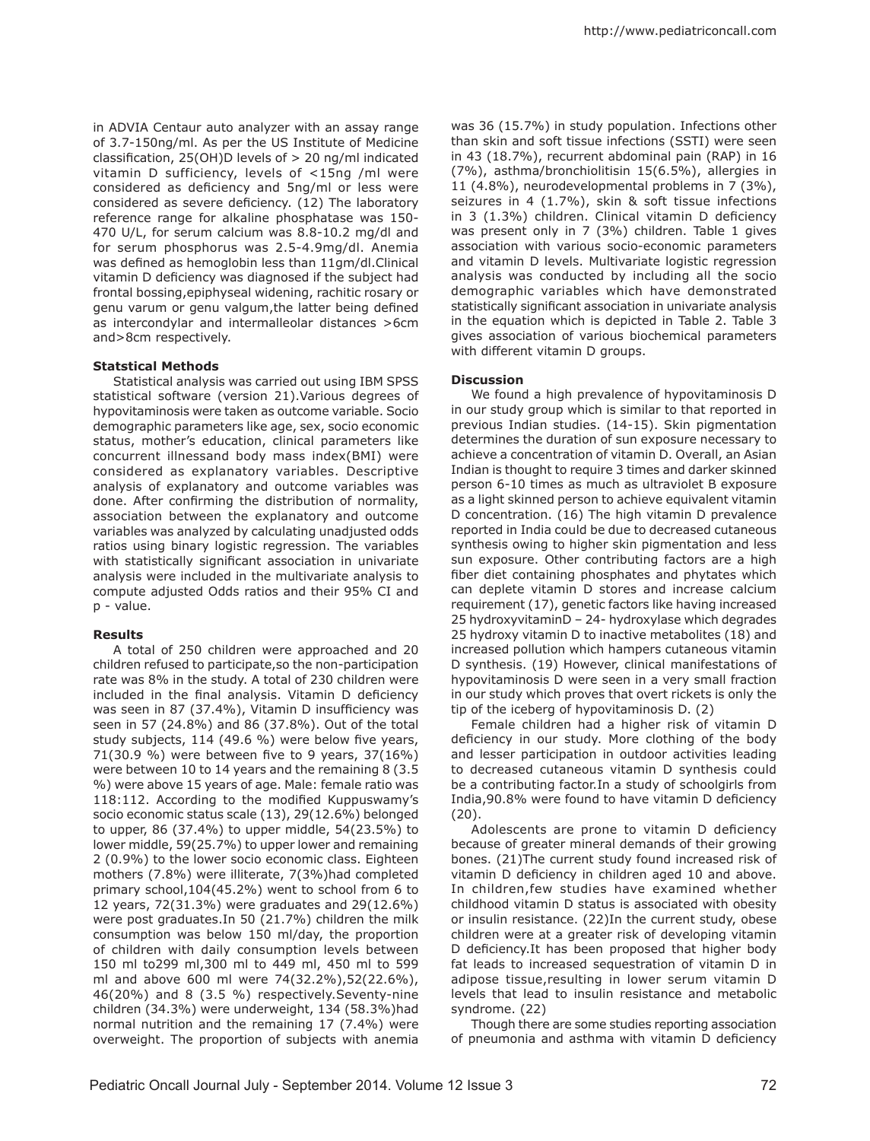in ADVIA Centaur auto analyzer with an assay range of 3.7-150ng/ml. As per the US Institute of Medicine classification, 25(OH)D levels of > 20 ng/ml indicated vitamin D sufficiency, levels of <15ng /ml were considered as deficiency and 5ng/ml or less were considered as severe deficiency. (12) The laboratory reference range for alkaline phosphatase was 150- 470 U/L, for serum calcium was 8.8-10.2 mg/dl and for serum phosphorus was 2.5-4.9mg/dl. Anemia was defined as hemoglobin less than 11gm/dl.Clinical vitamin D deficiency was diagnosed if the subject had frontal bossing,epiphyseal widening, rachitic rosary or genu varum or genu valgum,the latter being defined as intercondylar and intermalleolar distances >6cm and>8cm respectively.

### **Statstical Methods**

Statistical analysis was carried out using IBM SPSS statistical software (version 21).Various degrees of hypovitaminosis were taken as outcome variable. Socio demographic parameters like age, sex, socio economic status, mother's education, clinical parameters like concurrent illnessand body mass index(BMI) were considered as explanatory variables. Descriptive analysis of explanatory and outcome variables was done. After confirming the distribution of normality, association between the explanatory and outcome variables was analyzed by calculating unadjusted odds ratios using binary logistic regression. The variables with statistically significant association in univariate analysis were included in the multivariate analysis to compute adjusted Odds ratios and their 95% CI and p - value.

#### **Results**

A total of 250 children were approached and 20 children refused to participate,so the non-participation rate was 8% in the study. A total of 230 children were included in the final analysis. Vitamin D deficiency was seen in 87 (37.4%), Vitamin D insufficiency was seen in 57 (24.8%) and 86 (37.8%). Out of the total study subjects, 114 (49.6 %) were below five years, 71(30.9 %) were between five to 9 years, 37(16%) were between 10 to 14 years and the remaining 8 (3.5 %) were above 15 years of age. Male: female ratio was 118:112. According to the modified Kuppuswamy's socio economic status scale (13), 29(12.6%) belonged to upper, 86 (37.4%) to upper middle, 54(23.5%) to lower middle, 59(25.7%) to upper lower and remaining 2 (0.9%) to the lower socio economic class. Eighteen mothers (7.8%) were illiterate, 7(3%)had completed primary school,104(45.2%) went to school from 6 to 12 years, 72(31.3%) were graduates and 29(12.6%) were post graduates.In 50 (21.7%) children the milk consumption was below 150 ml/day, the proportion of children with daily consumption levels between 150 ml to299 ml,300 ml to 449 ml, 450 ml to 599 ml and above 600 ml were 74(32.2%),52(22.6%), 46(20%) and 8 (3.5 %) respectively.Seventy-nine children (34.3%) were underweight, 134 (58.3%)had normal nutrition and the remaining 17 (7.4%) were overweight. The proportion of subjects with anemia

was 36 (15.7%) in study population. Infections other than skin and soft tissue infections (SSTI) were seen in 43 (18.7%), recurrent abdominal pain (RAP) in 16 (7%), asthma/bronchiolitisin 15(6.5%), allergies in 11 (4.8%), neurodevelopmental problems in 7 (3%), seizures in 4 (1.7%), skin & soft tissue infections in 3 (1.3%) children. Clinical vitamin D deficiency was present only in 7 (3%) children. Table 1 gives association with various socio-economic parameters and vitamin D levels. Multivariate logistic regression analysis was conducted by including all the socio demographic variables which have demonstrated statistically significant association in univariate analysis in the equation which is depicted in Table 2. Table 3 gives association of various biochemical parameters with different vitamin D groups.

#### **Discussion**

We found a high prevalence of hypovitaminosis D in our study group which is similar to that reported in previous Indian studies. (14-15). Skin pigmentation determines the duration of sun exposure necessary to achieve a concentration of vitamin D. Overall, an Asian Indian is thought to require 3 times and darker skinned person 6-10 times as much as ultraviolet B exposure as a light skinned person to achieve equivalent vitamin D concentration. (16) The high vitamin D prevalence reported in India could be due to decreased cutaneous synthesis owing to higher skin pigmentation and less sun exposure. Other contributing factors are a high fiber diet containing phosphates and phytates which can deplete vitamin D stores and increase calcium requirement (17), genetic factors like having increased 25 hydroxyvitaminD – 24- hydroxylase which degrades 25 hydroxy vitamin D to inactive metabolites (18) and increased pollution which hampers cutaneous vitamin D synthesis. (19) However, clinical manifestations of hypovitaminosis D were seen in a very small fraction in our study which proves that overt rickets is only the tip of the iceberg of hypovitaminosis D. (2)

Female children had a higher risk of vitamin D deficiency in our study. More clothing of the body and lesser participation in outdoor activities leading to decreased cutaneous vitamin D synthesis could be a contributing factor.In a study of schoolgirls from India,90.8% were found to have vitamin D deficiency (20).

Adolescents are prone to vitamin D deficiency because of greater mineral demands of their growing bones. (21)The current study found increased risk of vitamin D deficiency in children aged 10 and above. In children,few studies have examined whether childhood vitamin D status is associated with obesity or insulin resistance. (22)In the current study, obese children were at a greater risk of developing vitamin D deficiency.It has been proposed that higher body fat leads to increased sequestration of vitamin D in adipose tissue,resulting in lower serum vitamin D levels that lead to insulin resistance and metabolic syndrome. (22)

Though there are some studies reporting association of pneumonia and asthma with vitamin D deficiency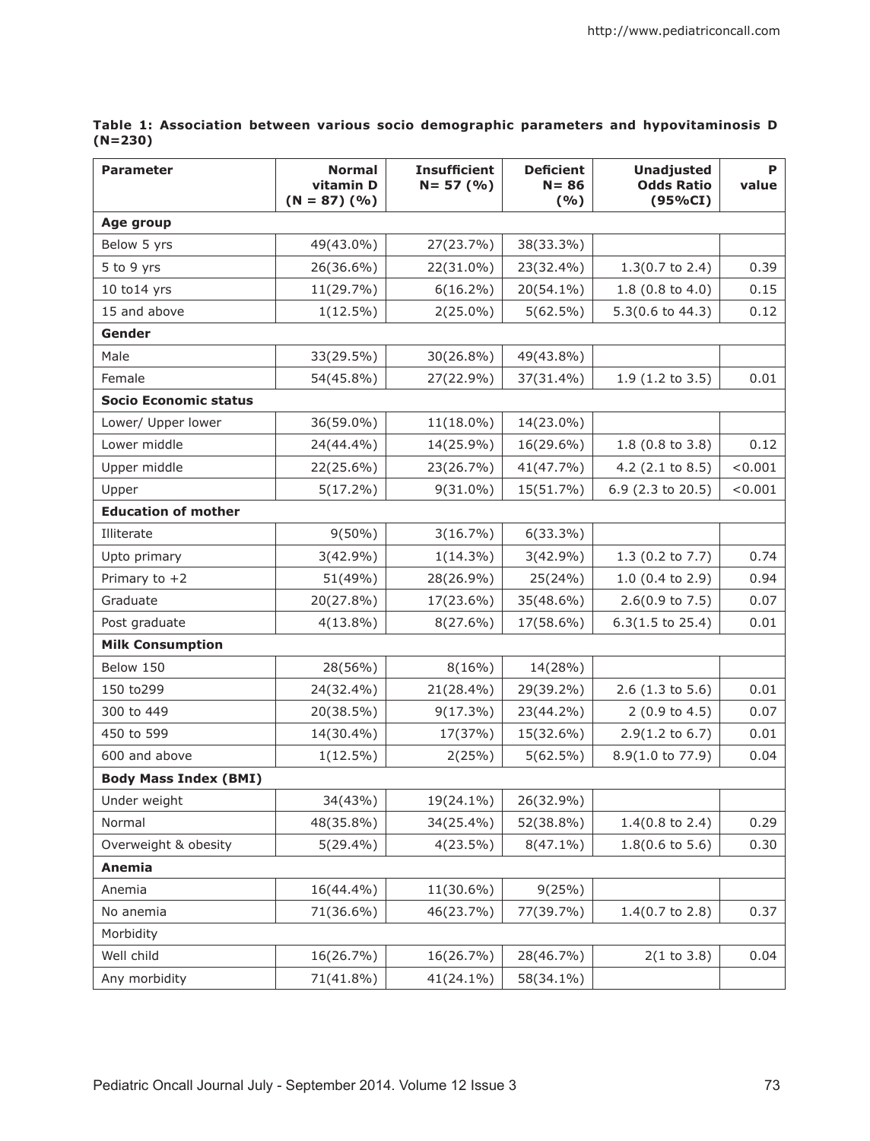| <b>Parameter</b>             | <b>Normal</b><br>vitamin D<br>$(N = 87)$ (%) | <b>Insufficient</b><br>$N = 57$ (%) | <b>Deficient</b><br>$N = 86$<br>(9/6) | <b>Unadjusted</b><br><b>Odds Ratio</b><br>(95%CI) | P<br>value |  |  |  |  |
|------------------------------|----------------------------------------------|-------------------------------------|---------------------------------------|---------------------------------------------------|------------|--|--|--|--|
| Age group                    |                                              |                                     |                                       |                                                   |            |  |  |  |  |
| Below 5 yrs                  | 49(43.0%)                                    | 27(23.7%)                           | 38(33.3%)                             |                                                   |            |  |  |  |  |
| 5 to 9 yrs                   | 26(36.6%)                                    | 22(31.0%)                           | 23(32.4%)                             | $1.3(0.7 \text{ to } 2.4)$                        | 0.39       |  |  |  |  |
| $10$ to $14$ yrs             | 11(29.7%)                                    | $6(16.2\%)$                         | 20(54.1%)                             | $1.8(0.8 \text{ to } 4.0)$                        | 0.15       |  |  |  |  |
| 15 and above                 | $1(12.5\%)$                                  | $2(25.0\%)$                         | 5(62.5%)                              | $5.3(0.6 \text{ to } 44.3)$                       | 0.12       |  |  |  |  |
| Gender                       |                                              |                                     |                                       |                                                   |            |  |  |  |  |
| Male                         | 33(29.5%)                                    | 30(26.8%)                           | 49(43.8%)                             |                                                   |            |  |  |  |  |
| Female                       | 54(45.8%)                                    | 27(22.9%)                           | 37(31.4%)                             | $1.9(1.2 \text{ to } 3.5)$                        | 0.01       |  |  |  |  |
| <b>Socio Economic status</b> |                                              |                                     |                                       |                                                   |            |  |  |  |  |
| Lower/ Upper lower           | 36(59.0%)                                    | 11(18.0%)                           | 14(23.0%)                             |                                                   |            |  |  |  |  |
| Lower middle                 | 24(44.4%)                                    | 14(25.9%)                           | 16(29.6%)                             | $1.8$ (0.8 to 3.8)                                | 0.12       |  |  |  |  |
| Upper middle                 | 22(25.6%)                                    | 23(26.7%)                           | 41(47.7%)                             | 4.2 $(2.1 \text{ to } 8.5)$                       | < 0.001    |  |  |  |  |
| Upper                        | $5(17.2\%)$                                  | $9(31.0\%)$                         | 15(51.7%)                             | 6.9 (2.3 to 20.5)                                 | < 0.001    |  |  |  |  |
| <b>Education of mother</b>   |                                              |                                     |                                       |                                                   |            |  |  |  |  |
| Illiterate                   | $9(50\%)$                                    | 3(16.7%)                            | $6(33.3\%)$                           |                                                   |            |  |  |  |  |
| Upto primary                 | $3(42.9\%)$                                  | $1(14.3\%)$                         | $3(42.9\%)$                           | 1.3 (0.2 to 7.7)                                  | 0.74       |  |  |  |  |
| Primary to $+2$              | 51(49%)                                      | 28(26.9%)                           | 25(24%)                               | $1.0$ (0.4 to 2.9)                                | 0.94       |  |  |  |  |
| Graduate                     | 20(27.8%)                                    | 17(23.6%)                           | 35(48.6%)                             | $2.6(0.9 \text{ to } 7.5)$                        | 0.07       |  |  |  |  |
| Post graduate                | $4(13.8\%)$                                  | $8(27.6\%)$                         | 17(58.6%)                             | $6.3(1.5 \text{ to } 25.4)$                       | 0.01       |  |  |  |  |
| <b>Milk Consumption</b>      |                                              |                                     |                                       |                                                   |            |  |  |  |  |
| Below 150                    | 28(56%)                                      | 8(16%)                              | 14(28%)                               |                                                   |            |  |  |  |  |
| 150 to299                    | 24(32.4%)                                    | 21(28.4%)                           | 29(39.2%)                             | $2.6$ (1.3 to 5.6)                                | 0.01       |  |  |  |  |
| 300 to 449                   | 20(38.5%)                                    | $9(17.3\%)$                         | 23(44.2%)                             | 2 (0.9 to 4.5)                                    | 0.07       |  |  |  |  |
| 450 to 599                   | 14(30.4%)                                    | 17(37%)                             | 15(32.6%)                             | $2.9(1.2 \text{ to } 6.7)$                        | 0.01       |  |  |  |  |
| 600 and above                | $1(12.5\%)$                                  | 2(25%)                              | 5(62.5%)                              | 8.9(1.0 to 77.9)                                  | 0.04       |  |  |  |  |
| <b>Body Mass Index (BMI)</b> |                                              |                                     |                                       |                                                   |            |  |  |  |  |
| Under weight                 | 34(43%)                                      | 19(24.1%)                           | 26(32.9%)                             |                                                   |            |  |  |  |  |
| Normal                       | 48(35.8%)                                    | 34(25.4%)                           | 52(38.8%)                             | $1.4(0.8 \text{ to } 2.4)$                        | 0.29       |  |  |  |  |
| Overweight & obesity         | $5(29.4\%)$                                  | 4(23.5%)                            | $8(47.1\%)$                           | $1.8(0.6 \text{ to } 5.6)$                        | 0.30       |  |  |  |  |
| Anemia                       |                                              |                                     |                                       |                                                   |            |  |  |  |  |
| Anemia                       | 16(44.4%)                                    | 11(30.6%)                           | 9(25%)                                |                                                   |            |  |  |  |  |
| No anemia                    | 71(36.6%)                                    | 46(23.7%)                           | 77(39.7%)                             | $1.4(0.7 \text{ to } 2.8)$                        | 0.37       |  |  |  |  |
| Morbidity                    |                                              |                                     |                                       |                                                   |            |  |  |  |  |
| Well child                   | 16(26.7%)                                    | 16(26.7%)                           | 28(46.7%)                             | 2(1 to 3.8)                                       | 0.04       |  |  |  |  |
| Any morbidity                | 71(41.8%)                                    | 41(24.1%)                           | 58(34.1%)                             |                                                   |            |  |  |  |  |

**Table 1: Association between various socio demographic parameters and hypovitaminosis D (N=230)**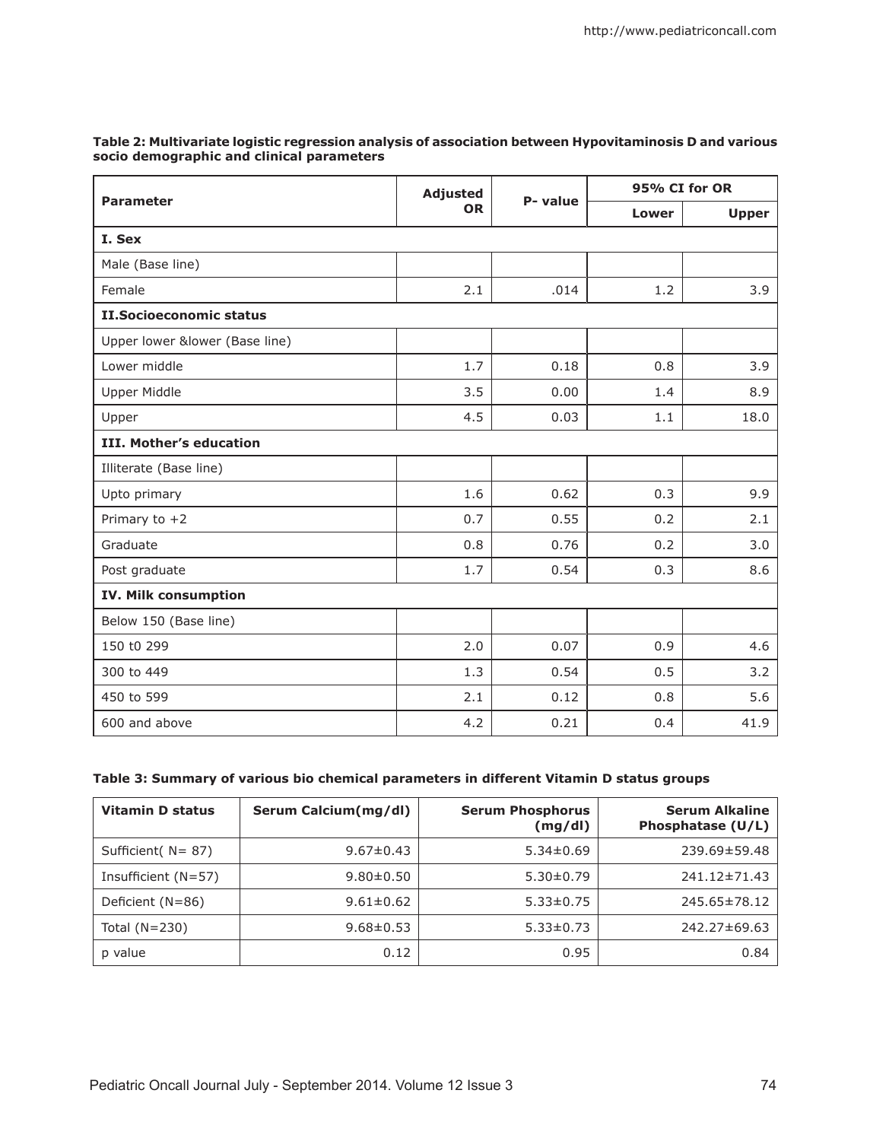|                                | <b>Adjusted</b><br><b>OR</b> | P- value | 95% CI for OR |              |  |  |  |
|--------------------------------|------------------------------|----------|---------------|--------------|--|--|--|
| <b>Parameter</b>               |                              |          | Lower         | <b>Upper</b> |  |  |  |
| I. Sex                         |                              |          |               |              |  |  |  |
| Male (Base line)               |                              |          |               |              |  |  |  |
| Female                         | 2.1                          | .014     | 1.2           | 3.9          |  |  |  |
| <b>II.Socioeconomic status</b> |                              |          |               |              |  |  |  |
| Upper lower &lower (Base line) |                              |          |               |              |  |  |  |
| Lower middle                   | 1.7                          | 0.18     | 0.8           | 3.9          |  |  |  |
| <b>Upper Middle</b>            | 3.5                          | 0.00     | 1.4           | 8.9          |  |  |  |
| Upper                          | 4.5                          | 0.03     | 1.1           | 18.0         |  |  |  |
| <b>III. Mother's education</b> |                              |          |               |              |  |  |  |
| Illiterate (Base line)         |                              |          |               |              |  |  |  |
| Upto primary                   | 1.6                          | 0.62     | 0.3           | 9.9          |  |  |  |
| Primary to $+2$                | 0.7                          | 0.55     | 0.2           | 2.1          |  |  |  |
| Graduate                       | 0.8                          | 0.76     | 0.2           | 3.0          |  |  |  |
| Post graduate                  | 1.7                          | 0.54     | 0.3           | 8.6          |  |  |  |
| <b>IV. Milk consumption</b>    |                              |          |               |              |  |  |  |
| Below 150 (Base line)          |                              |          |               |              |  |  |  |
| 150 t0 299                     | 2.0                          | 0.07     | 0.9           | 4.6          |  |  |  |
| 300 to 449                     | 1.3                          | 0.54     | 0.5           | 3.2          |  |  |  |
| 450 to 599                     | 2.1                          | 0.12     | 0.8           | 5.6          |  |  |  |
| 600 and above                  | 4.2                          | 0.21     | 0.4           | 41.9         |  |  |  |

# **Table 2: Multivariate logistic regression analysis of association between Hypovitaminosis D and various socio demographic and clinical parameters**

# **Table 3: Summary of various bio chemical parameters in different Vitamin D status groups**

| <b>Vitamin D status</b> | Serum Calcium(mg/dl) | <b>Serum Phosphorus</b><br>(mg/dl) | <b>Serum Alkaline</b><br>Phosphatase (U/L) |
|-------------------------|----------------------|------------------------------------|--------------------------------------------|
| Sufficient $(N = 87)$   | $9.67 \pm 0.43$      | $5.34 \pm 0.69$                    | 239.69±59.48                               |
| Insufficient $(N=57)$   | $9.80 \pm 0.50$      | $5.30 \pm 0.79$                    | 241.12±71.43                               |
| Deficient $(N=86)$      | $9.61 \pm 0.62$      | $5.33 \pm 0.75$                    | 245.65±78.12                               |
| Total $(N=230)$         | $9.68 \pm 0.53$      | $5.33 \pm 0.73$                    | 242.27±69.63                               |
| p value                 | 0.12                 | 0.95                               | 0.84                                       |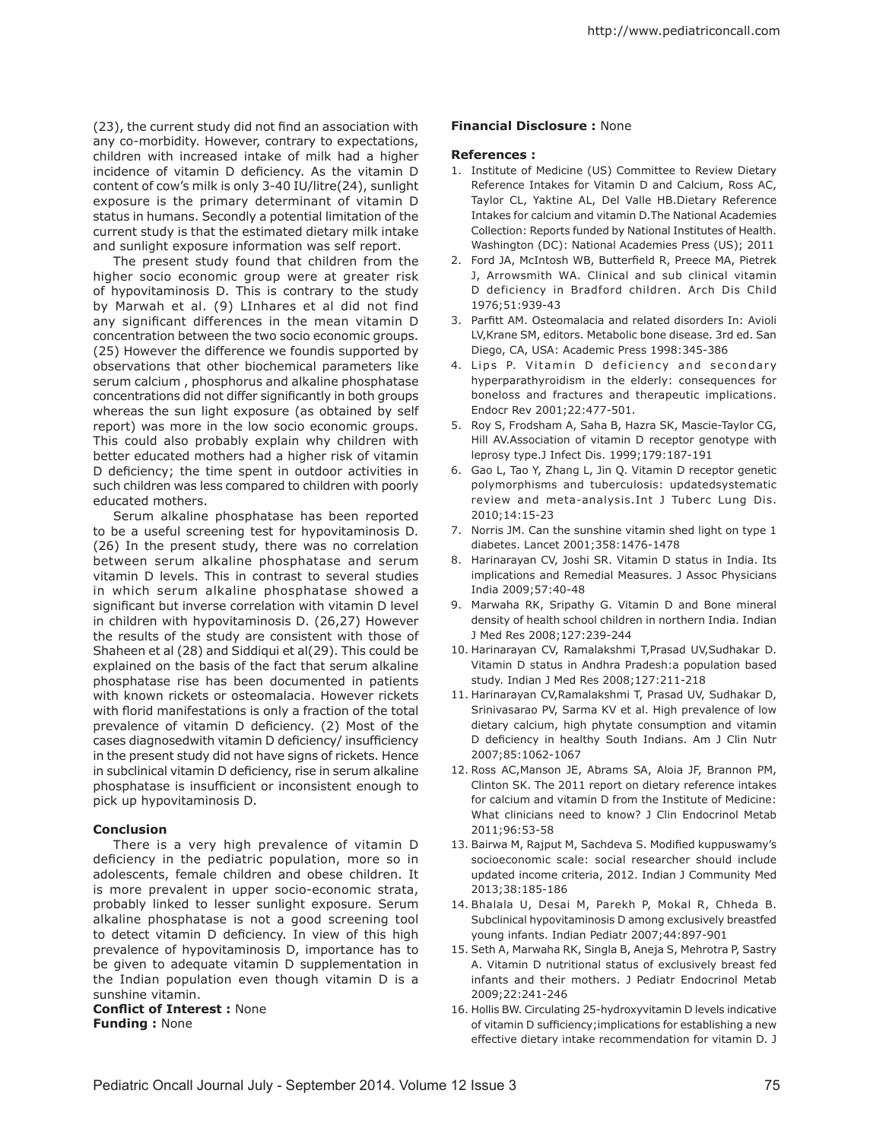(23), the current study did not find an association with any co-morbidity. However, contrary to expectations, children with increased intake of milk had a higher incidence of vitamin D deficiency. As the vitamin D content of cow's milk is only 3-40 IU/litre(24), sunlight exposure is the primary determinant of vitamin D status in humans. Secondly a potential limitation of the current study is that the estimated dietary milk intake and sunlight exposure information was self report.

The present study found that children from the higher socio economic group were at greater risk of hypovitaminosis D. This is contrary to the study by Marwah et al. (9) LInhares et al did not find any significant differences in the mean vitamin D concentration between the two socio economic groups. (25) However the difference we foundis supported by observations that other biochemical parameters like serum calcium , phosphorus and alkaline phosphatase concentrations did not differ significantly in both groups whereas the sun light exposure (as obtained by self report) was more in the low socio economic groups. This could also probably explain why children with better educated mothers had a higher risk of vitamin D deficiency; the time spent in outdoor activities in such children was less compared to children with poorly educated mothers.

Serum alkaline phosphatase has been reported to be a useful screening test for hypovitaminosis D. (26) In the present study, there was no correlation between serum alkaline phosphatase and serum vitamin D levels. This in contrast to several studies in which serum alkaline phosphatase showed a significant but inverse correlation with vitamin D level in children with hypovitaminosis D. (26,27) However the results of the study are consistent with those of Shaheen et al (28) and Siddiqui et al(29). This could be explained on the basis of the fact that serum alkaline phosphatase rise has been documented in patients with known rickets or osteomalacia. However rickets with florid manifestations is only a fraction of the total prevalence of vitamin D deficiency. (2) Most of the cases diagnosedwith vitamin D deficiency/ insufficiency in the present study did not have signs of rickets. Hence in subclinical vitamin D deficiency, rise in serum alkaline phosphatase is insufficient or inconsistent enough to pick up hypovitaminosis D.

## **Conclusion**

There is a very high prevalence of vitamin D deficiency in the pediatric population, more so in adolescents, female children and obese children. It is more prevalent in upper socio-economic strata, probably linked to lesser sunlight exposure. Serum alkaline phosphatase is not a good screening tool to detect vitamin D deficiency. In view of this high prevalence of hypovitaminosis D, importance has to be given to adequate vitamin D supplementation in the Indian population even though vitamin D is a sunshine vitamin.

### **Conflict of Interest :** None **Funding :** None

#### **Financial Disclosure :** None

#### **References :**

- 1. Institute of Medicine (US) Committee to Review Dietary Reference Intakes for Vitamin D and Calcium, Ross AC, Taylor CL, Yaktine AL, Del Valle HB.Dietary Reference Intakes for calcium and vitamin D.The National Academies Collection: Reports funded by National Institutes of Health. Washington (DC): National Academies Press (US); 2011
- 2. Ford JA, McIntosh WB, Butterfield R, Preece MA, Pietrek J, Arrowsmith WA. Clinical and sub clinical vitamin D deficiency in Bradford children. Arch Dis Child 1976;51:939-43
- 3. Parfitt AM. Osteomalacia and related disorders In: Avioli LV,Krane SM, editors. Metabolic bone disease. 3rd ed. San Diego, CA, USA: Academic Press 1998:345-386
- 4. Lips P. Vitamin D deficiency and secondary hyperparathyroidism in the elderly: consequences for boneloss and fractures and therapeutic implications. Endocr Rev 2001;22:477-501.
- 5. Roy S, Frodsham A, Saha B, Hazra SK, Mascie-Taylor CG, Hill AV.Association of vitamin D receptor genotype with leprosy type.J Infect Dis. 1999;179:187-191
- 6. Gao L, Tao Y, Zhang L, Jin Q. Vitamin D receptor genetic polymorphisms and tuberculosis: updatedsystematic review and meta-analysis.Int J Tuberc Lung Dis. 2010;14:15-23
- 7. Norris JM. Can the sunshine vitamin shed light on type 1 diabetes. Lancet 2001;358:1476-1478
- 8. Harinarayan CV, Joshi SR. Vitamin D status in India. Its implications and Remedial Measures. J Assoc Physicians India 2009;57:40-48
- 9. Marwaha RK, Sripathy G. Vitamin D and Bone mineral density of health school children in northern India. Indian J Med Res 2008;127:239-244
- 10. Harinarayan CV, Ramalakshmi T,Prasad UV,Sudhakar D. Vitamin D status in Andhra Pradesh:a population based study. Indian J Med Res 2008;127:211-218
- 11. Harinarayan CV,Ramalakshmi T, Prasad UV, Sudhakar D, Srinivasarao PV, Sarma KV et al. High prevalence of low dietary calcium, high phytate consumption and vitamin D deficiency in healthy South Indians. Am J Clin Nutr 2007;85:1062-1067
- 12. Ross AC,Manson JE, Abrams SA, Aloia JF, Brannon PM, Clinton SK. The 2011 report on dietary reference intakes for calcium and vitamin D from the Institute of Medicine: What clinicians need to know? J Clin Endocrinol Metab 2011;96:53-58
- 13. Bairwa M, Rajput M, Sachdeva S. Modified kuppuswamy's socioeconomic scale: social researcher should include updated income criteria, 2012. Indian J Community Med 2013;38:185-186
- 14. Bhalala U, Desai M, Parekh P, Mokal R, Chheda B. Subclinical hypovitaminosis D among exclusively breastfed young infants. Indian Pediatr 2007;44:897-901
- 15. Seth A, Marwaha RK, Singla B, Aneja S, Mehrotra P, Sastry A. Vitamin D nutritional status of exclusively breast fed infants and their mothers. J Pediatr Endocrinol Metab 2009;22:241-246
- 16. Hollis BW. Circulating 25-hydroxyvitamin D levels indicative of vitamin D sufficiency;implications for establishing a new effective dietary intake recommendation for vitamin D. J